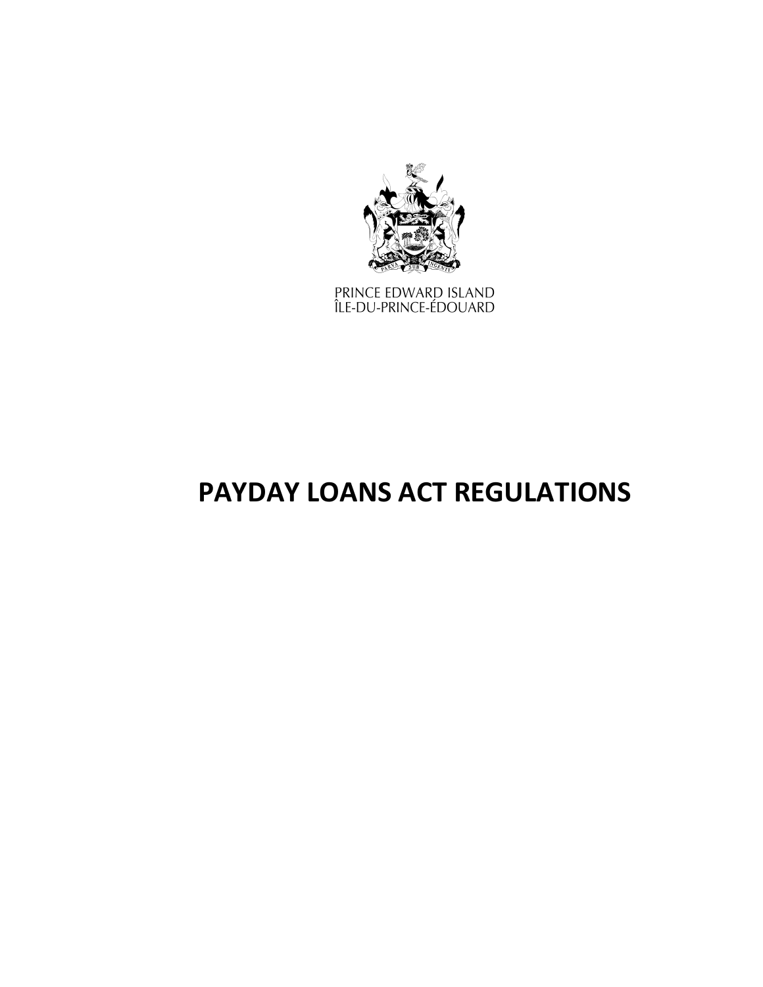

PRINCE EDWARD ISLAND<br>ÎLE-DU-PRINCE-ÉDOUARD

# **PAYDAY LOANS ACT REGULATIONS**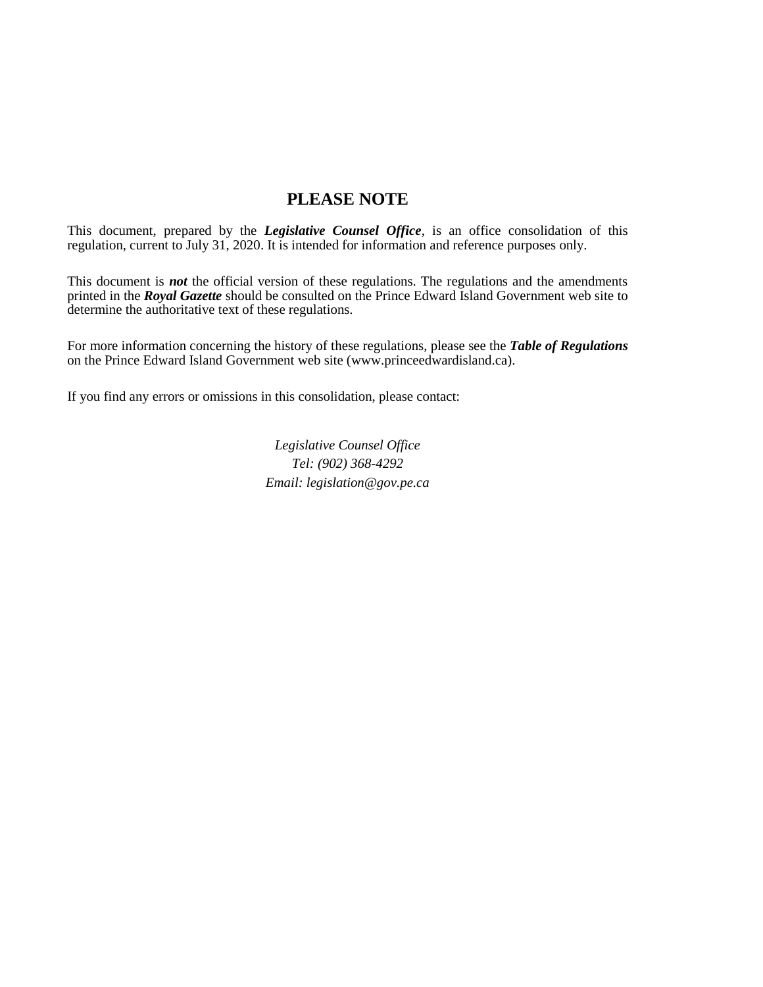# **PLEASE NOTE**

This document, prepared by the *[Legislative Counsel Office](http://www.gov.pe.ca/jps/index.php3?number=1027247)*, is an office consolidation of this regulation, current to July 31, 2020. It is intended for information and reference purposes only.

This document is *not* the official version of these regulations. The regulations and the amendments printed in the *Royal Gazette* should be consulted on the Prince Edward Island Government web site to determine the authoritative text of these regulations.

For more information concerning the history of these regulations, please see the *[Table of Regulations](https://www.princeedwardisland.ca/sites/default/files/publications/leg_table_acts.pdf)* on the Prince Edward Island Government web site (www.princeedwardisland.ca).

If you find any errors or omissions in this consolidation, please contact:

*Legislative Counsel Office Tel: (902) 368-4292 Email: legislation@gov.pe.ca*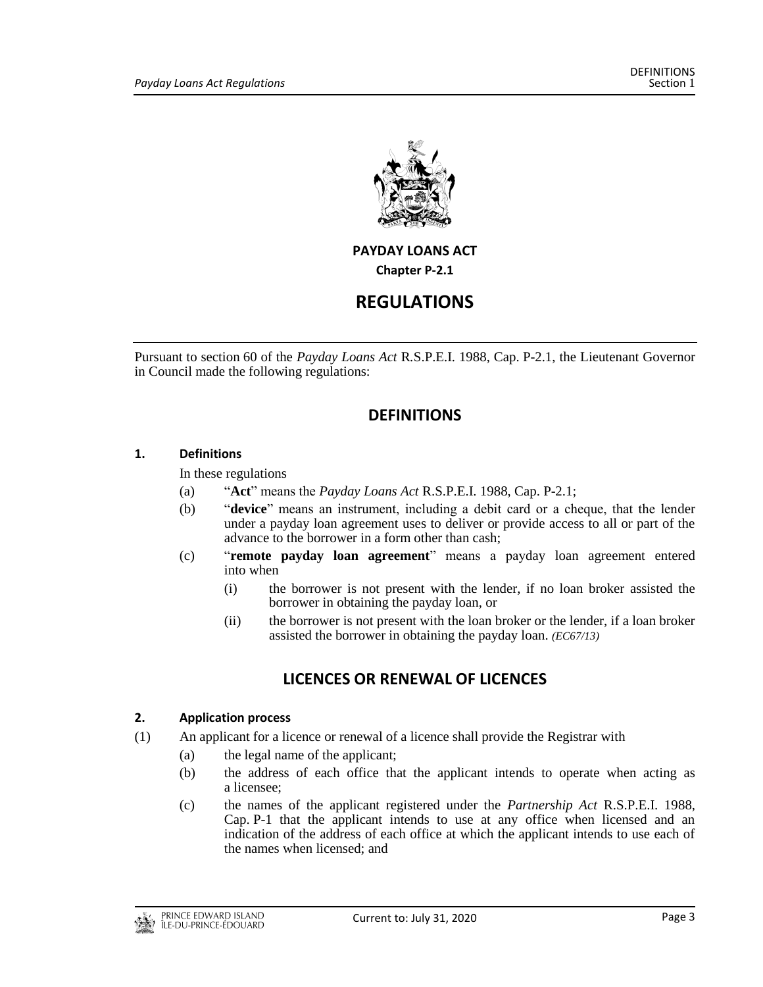

# **PAYDAY LOANS ACT**

**Chapter P-2.1**

# **REGULATIONS**

Pursuant to section 60 of the *Payday Loans Act* R*.*S.P.E.I. 1988, Cap. P-2.1, the Lieutenant Governor in Council made the following regulations:

# **DEFINITIONS**

# **1. Definitions**

In these regulations

- (a) "**Act**" means the *Payday Loans Act* R.S.P.E.I. 1988, Cap. P-2.1;
- (b) "**device**" means an instrument, including a debit card or a cheque, that the lender under a payday loan agreement uses to deliver or provide access to all or part of the advance to the borrower in a form other than cash;
- (c) "**remote payday loan agreement**" means a payday loan agreement entered into when
	- (i) the borrower is not present with the lender, if no loan broker assisted the borrower in obtaining the payday loan, or
	- (ii) the borrower is not present with the loan broker or the lender, if a loan broker assisted the borrower in obtaining the payday loan. *(EC67/13)*

# **LICENCES OR RENEWAL OF LICENCES**

# **2. Application process**

- (1) An applicant for a licence or renewal of a licence shall provide the Registrar with
	- (a) the legal name of the applicant;
	- (b) the address of each office that the applicant intends to operate when acting as a licensee;
	- (c) the names of the applicant registered under the *Partnership Act* R.S.P.E.I. 1988, Cap. P-1 that the applicant intends to use at any office when licensed and an indication of the address of each office at which the applicant intends to use each of the names when licensed; and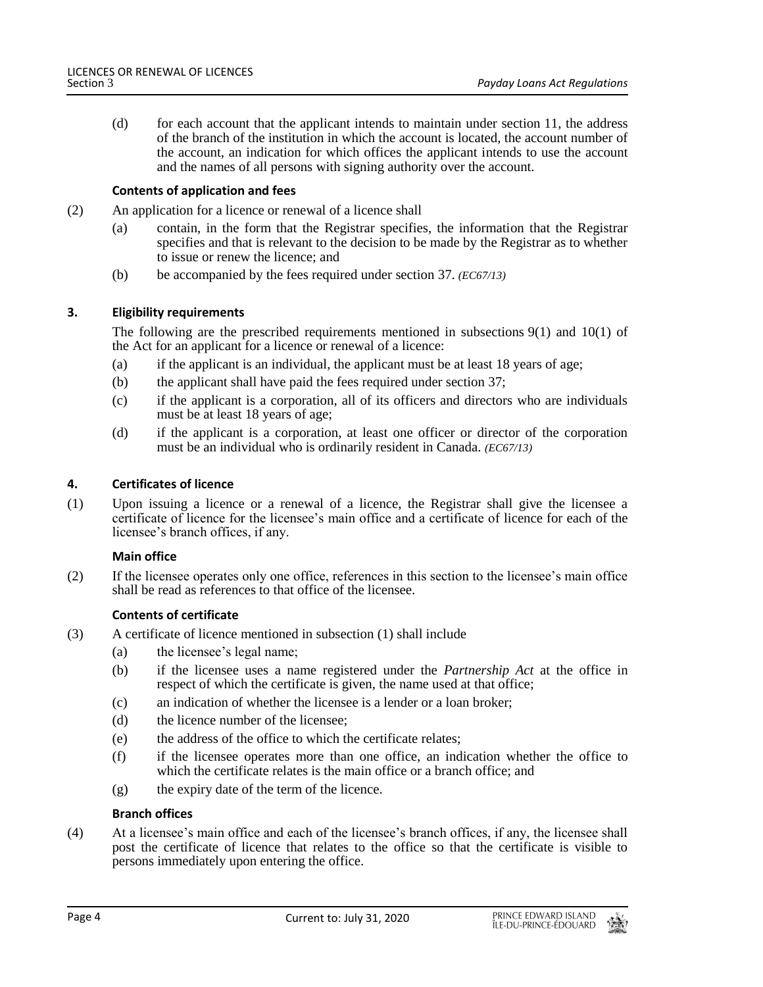(d) for each account that the applicant intends to maintain under section 11, the address of the branch of the institution in which the account is located, the account number of the account, an indication for which offices the applicant intends to use the account and the names of all persons with signing authority over the account.

# **Contents of application and fees**

- (2) An application for a licence or renewal of a licence shall
	- (a) contain, in the form that the Registrar specifies, the information that the Registrar specifies and that is relevant to the decision to be made by the Registrar as to whether to issue or renew the licence; and
	- (b) be accompanied by the fees required under section 37. *(EC67/13)*

### **3. Eligibility requirements**

The following are the prescribed requirements mentioned in subsections  $9(1)$  and  $10(1)$  of the Act for an applicant for a licence or renewal of a licence:

- (a) if the applicant is an individual, the applicant must be at least 18 years of age;
- (b) the applicant shall have paid the fees required under section 37;
- (c) if the applicant is a corporation, all of its officers and directors who are individuals must be at least 18 years of age;
- (d) if the applicant is a corporation, at least one officer or director of the corporation must be an individual who is ordinarily resident in Canada. *(EC67/13)*

### **4. Certificates of licence**

(1) Upon issuing a licence or a renewal of a licence, the Registrar shall give the licensee a certificate of licence for the licensee's main office and a certificate of licence for each of the licensee's branch offices, if any.

#### **Main office**

(2) If the licensee operates only one office, references in this section to the licensee's main office shall be read as references to that office of the licensee.

# **Contents of certificate**

- (3) A certificate of licence mentioned in subsection (1) shall include
	- (a) the licensee's legal name;
	- (b) if the licensee uses a name registered under the *Partnership Act* at the office in respect of which the certificate is given, the name used at that office;
	- (c) an indication of whether the licensee is a lender or a loan broker;
	- (d) the licence number of the licensee;
	- (e) the address of the office to which the certificate relates;
	- (f) if the licensee operates more than one office, an indication whether the office to which the certificate relates is the main office or a branch office; and
	- $(g)$  the expiry date of the term of the licence.

#### **Branch offices**

(4) At a licensee's main office and each of the licensee's branch offices, if any, the licensee shall post the certificate of licence that relates to the office so that the certificate is visible to persons immediately upon entering the office.

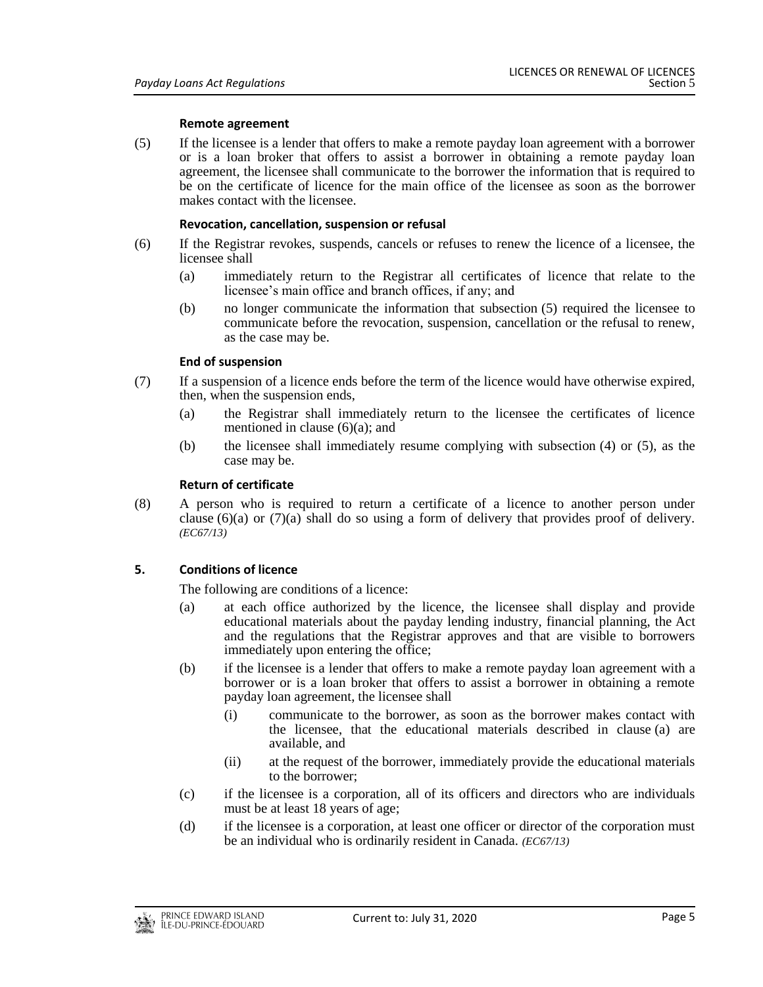#### **Remote agreement**

(5) If the licensee is a lender that offers to make a remote payday loan agreement with a borrower or is a loan broker that offers to assist a borrower in obtaining a remote payday loan agreement, the licensee shall communicate to the borrower the information that is required to be on the certificate of licence for the main office of the licensee as soon as the borrower makes contact with the licensee.

### **Revocation, cancellation, suspension or refusal**

- (6) If the Registrar revokes, suspends, cancels or refuses to renew the licence of a licensee, the licensee shall
	- (a) immediately return to the Registrar all certificates of licence that relate to the licensee's main office and branch offices, if any; and
	- (b) no longer communicate the information that subsection (5) required the licensee to communicate before the revocation, suspension, cancellation or the refusal to renew, as the case may be.

### **End of suspension**

- (7) If a suspension of a licence ends before the term of the licence would have otherwise expired, then, when the suspension ends,
	- (a) the Registrar shall immediately return to the licensee the certificates of licence mentioned in clause (6)(a); and
	- (b) the licensee shall immediately resume complying with subsection (4) or (5), as the case may be.

### **Return of certificate**

(8) A person who is required to return a certificate of a licence to another person under clause  $(6)(a)$  or  $(7)(a)$  shall do so using a form of delivery that provides proof of delivery. *(EC67/13)*

# **5. Conditions of licence**

The following are conditions of a licence:

- (a) at each office authorized by the licence, the licensee shall display and provide educational materials about the payday lending industry, financial planning, the Act and the regulations that the Registrar approves and that are visible to borrowers immediately upon entering the office;
- (b) if the licensee is a lender that offers to make a remote payday loan agreement with a borrower or is a loan broker that offers to assist a borrower in obtaining a remote payday loan agreement, the licensee shall
	- (i) communicate to the borrower, as soon as the borrower makes contact with the licensee, that the educational materials described in clause (a) are available, and
	- (ii) at the request of the borrower, immediately provide the educational materials to the borrower;
- (c) if the licensee is a corporation, all of its officers and directors who are individuals must be at least 18 years of age;
- (d) if the licensee is a corporation, at least one officer or director of the corporation must be an individual who is ordinarily resident in Canada. *(EC67/13)*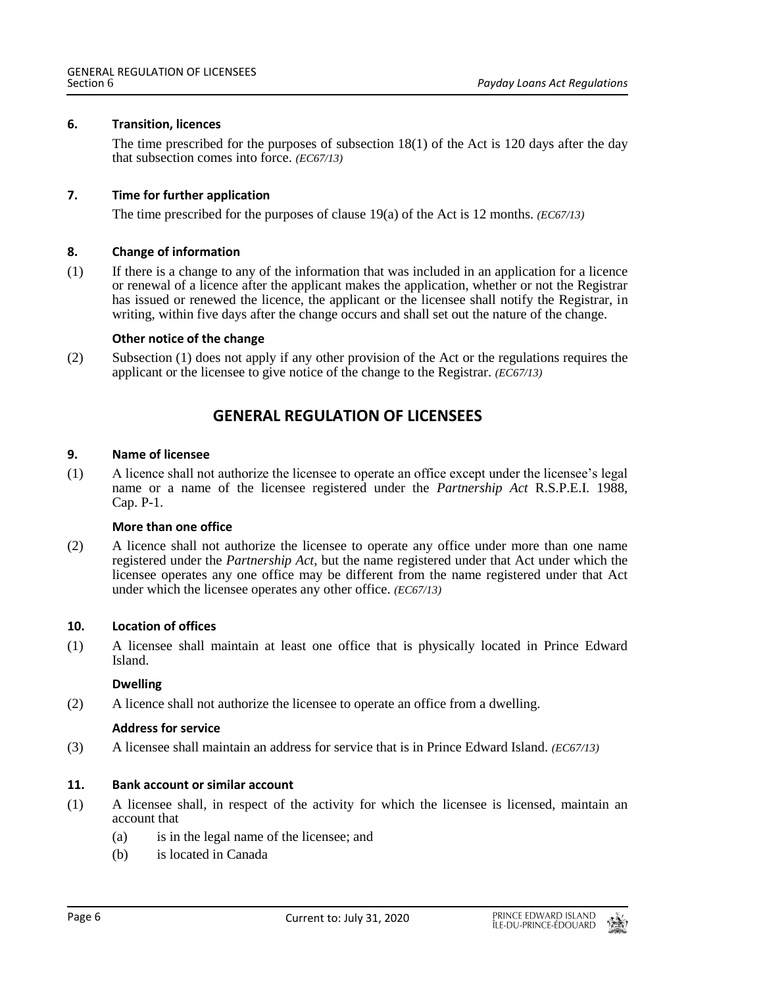## **6. Transition, licences**

The time prescribed for the purposes of subsection  $18(1)$  of the Act is 120 days after the day that subsection comes into force. *(EC67/13)*

### **7. Time for further application**

The time prescribed for the purposes of clause 19(a) of the Act is 12 months. *(EC67/13)*

#### **8. Change of information**

(1) If there is a change to any of the information that was included in an application for a licence or renewal of a licence after the applicant makes the application, whether or not the Registrar has issued or renewed the licence, the applicant or the licensee shall notify the Registrar, in writing, within five days after the change occurs and shall set out the nature of the change.

#### **Other notice of the change**

(2) Subsection (1) does not apply if any other provision of the Act or the regulations requires the applicant or the licensee to give notice of the change to the Registrar. *(EC67/13)*

# **GENERAL REGULATION OF LICENSEES**

#### **9. Name of licensee**

(1) A licence shall not authorize the licensee to operate an office except under the licensee's legal name or a name of the licensee registered under the *Partnership Act* R.S.P.E.I. 1988, Cap. P-1.

#### **More than one office**

(2) A licence shall not authorize the licensee to operate any office under more than one name registered under the *Partnership Act*, but the name registered under that Act under which the licensee operates any one office may be different from the name registered under that Act under which the licensee operates any other office. *(EC67/13)*

#### **10. Location of offices**

(1) A licensee shall maintain at least one office that is physically located in Prince Edward Island.

#### **Dwelling**

(2) A licence shall not authorize the licensee to operate an office from a dwelling.

#### **Address for service**

(3) A licensee shall maintain an address for service that is in Prince Edward Island. *(EC67/13)*

#### **11. Bank account or similar account**

- (1) A licensee shall, in respect of the activity for which the licensee is licensed, maintain an account that
	- (a) is in the legal name of the licensee; and
	- (b) is located in Canada

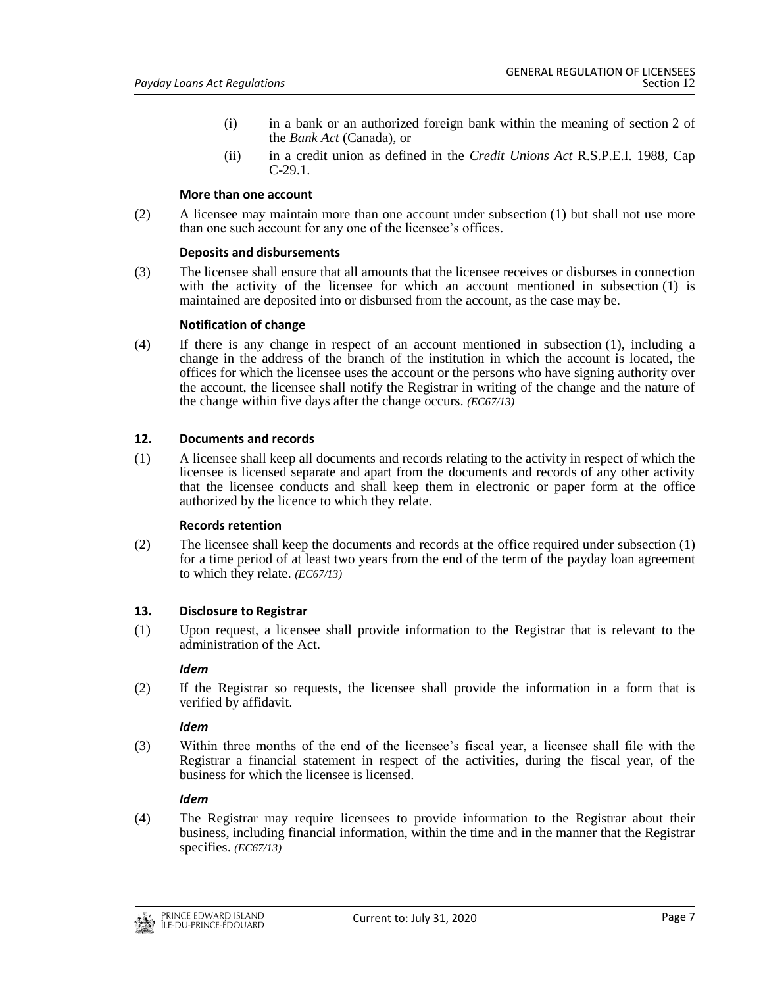- (i) in a bank or an authorized foreign bank within the meaning of section 2 of the *Bank Act* (Canada), or
- (ii) in a credit union as defined in the *Credit Unions Act* R.S.P.E.I. 1988, Cap C-29.1.

#### **More than one account**

(2) A licensee may maintain more than one account under subsection (1) but shall not use more than one such account for any one of the licensee's offices.

#### **Deposits and disbursements**

(3) The licensee shall ensure that all amounts that the licensee receives or disburses in connection with the activity of the licensee for which an account mentioned in subsection (1) is maintained are deposited into or disbursed from the account, as the case may be.

### **Notification of change**

(4) If there is any change in respect of an account mentioned in subsection (1), including a change in the address of the branch of the institution in which the account is located, the offices for which the licensee uses the account or the persons who have signing authority over the account, the licensee shall notify the Registrar in writing of the change and the nature of the change within five days after the change occurs. *(EC67/13)*

# **12. Documents and records**

(1) A licensee shall keep all documents and records relating to the activity in respect of which the licensee is licensed separate and apart from the documents and records of any other activity that the licensee conducts and shall keep them in electronic or paper form at the office authorized by the licence to which they relate.

#### **Records retention**

(2) The licensee shall keep the documents and records at the office required under subsection (1) for a time period of at least two years from the end of the term of the payday loan agreement to which they relate. *(EC67/13)*

# **13. Disclosure to Registrar**

(1) Upon request, a licensee shall provide information to the Registrar that is relevant to the administration of the Act.

#### *Idem*

(2) If the Registrar so requests, the licensee shall provide the information in a form that is verified by affidavit.

# *Idem*

(3) Within three months of the end of the licensee's fiscal year, a licensee shall file with the Registrar a financial statement in respect of the activities, during the fiscal year, of the business for which the licensee is licensed.

# *Idem*

(4) The Registrar may require licensees to provide information to the Registrar about their business, including financial information, within the time and in the manner that the Registrar specifies. *(EC67/13)*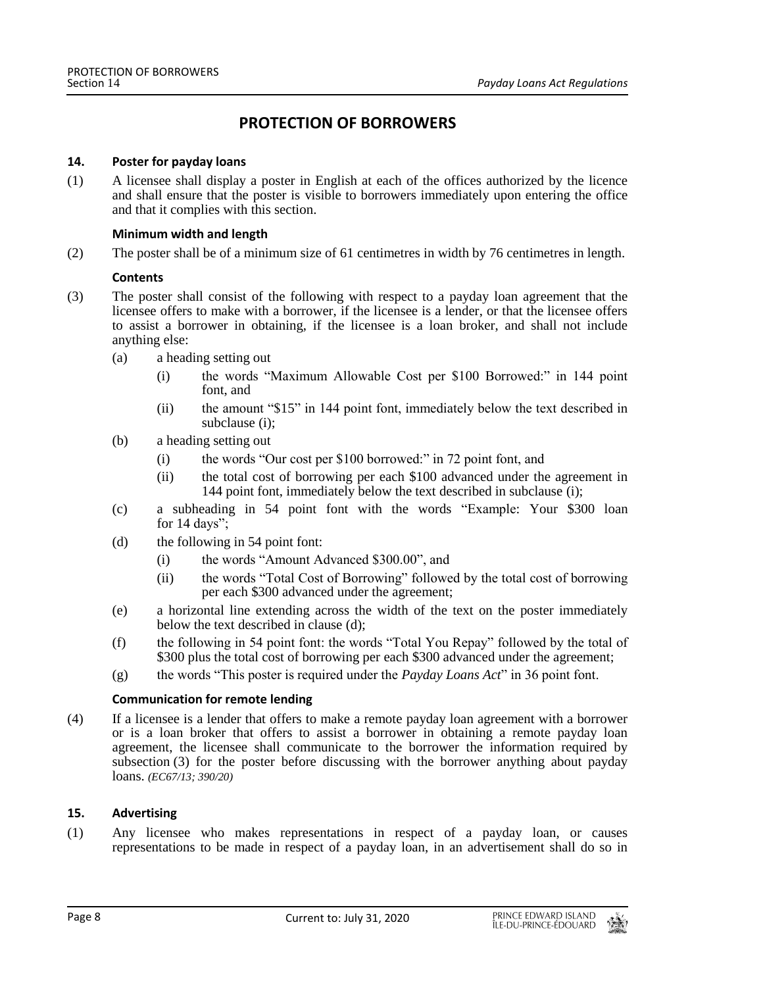# **PROTECTION OF BORROWERS**

#### **14. Poster for payday loans**

(1) A licensee shall display a poster in English at each of the offices authorized by the licence and shall ensure that the poster is visible to borrowers immediately upon entering the office and that it complies with this section.

### **Minimum width and length**

(2) The poster shall be of a minimum size of 61 centimetres in width by 76 centimetres in length.

### **Contents**

- (3) The poster shall consist of the following with respect to a payday loan agreement that the licensee offers to make with a borrower, if the licensee is a lender, or that the licensee offers to assist a borrower in obtaining, if the licensee is a loan broker, and shall not include anything else:
	- (a) a heading setting out
		- (i) the words "Maximum Allowable Cost per \$100 Borrowed:" in 144 point font, and
		- (ii) the amount "\$15" in 144 point font, immediately below the text described in subclause (i);
	- (b) a heading setting out
		- (i) the words "Our cost per \$100 borrowed:" in 72 point font, and
		- (ii) the total cost of borrowing per each \$100 advanced under the agreement in 144 point font, immediately below the text described in subclause (i);
	- (c) a subheading in 54 point font with the words "Example: Your \$300 loan for  $14 \text{ days}$ ";
	- (d) the following in 54 point font:
		- (i) the words "Amount Advanced \$300.00", and
		- (ii) the words "Total Cost of Borrowing" followed by the total cost of borrowing per each \$300 advanced under the agreement;
	- (e) a horizontal line extending across the width of the text on the poster immediately below the text described in clause (d);
	- (f) the following in 54 point font: the words "Total You Repay" followed by the total of \$300 plus the total cost of borrowing per each \$300 advanced under the agreement;
	- (g) the words "This poster is required under the *Payday Loans Act*" in 36 point font.

#### **Communication for remote lending**

(4) If a licensee is a lender that offers to make a remote payday loan agreement with a borrower or is a loan broker that offers to assist a borrower in obtaining a remote payday loan agreement, the licensee shall communicate to the borrower the information required by subsection (3) for the poster before discussing with the borrower anything about payday loans. *(EC67/13; 390/20)*

# **15. Advertising**

(1) Any licensee who makes representations in respect of a payday loan, or causes representations to be made in respect of a payday loan, in an advertisement shall do so in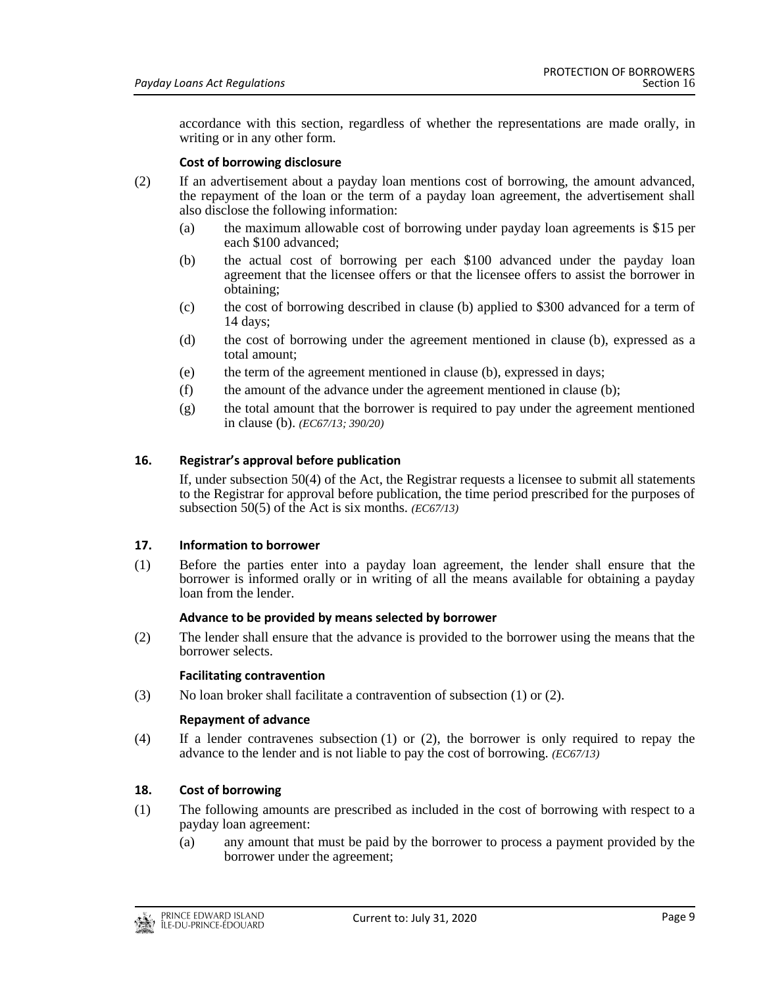accordance with this section, regardless of whether the representations are made orally, in writing or in any other form.

# **Cost of borrowing disclosure**

- (2) If an advertisement about a payday loan mentions cost of borrowing, the amount advanced, the repayment of the loan or the term of a payday loan agreement, the advertisement shall also disclose the following information:
	- (a) the maximum allowable cost of borrowing under payday loan agreements is \$15 per each \$100 advanced;
	- (b) the actual cost of borrowing per each \$100 advanced under the payday loan agreement that the licensee offers or that the licensee offers to assist the borrower in obtaining;
	- (c) the cost of borrowing described in clause (b) applied to \$300 advanced for a term of 14 days;
	- (d) the cost of borrowing under the agreement mentioned in clause (b), expressed as a total amount;
	- (e) the term of the agreement mentioned in clause (b), expressed in days;
	- (f) the amount of the advance under the agreement mentioned in clause (b);
	- (g) the total amount that the borrower is required to pay under the agreement mentioned in clause (b). *(EC67/13; 390/20)*

# **16. Registrar's approval before publication**

If, under subsection 50(4) of the Act, the Registrar requests a licensee to submit all statements to the Registrar for approval before publication, the time period prescribed for the purposes of subsection 50(5) of the Act is six months. *(EC67/13)*

# **17. Information to borrower**

(1) Before the parties enter into a payday loan agreement, the lender shall ensure that the borrower is informed orally or in writing of all the means available for obtaining a payday loan from the lender.

# **Advance to be provided by means selected by borrower**

(2) The lender shall ensure that the advance is provided to the borrower using the means that the borrower selects.

#### **Facilitating contravention**

(3) No loan broker shall facilitate a contravention of subsection  $(1)$  or  $(2)$ .

#### **Repayment of advance**

(4) If a lender contravenes subsection (1) or (2), the borrower is only required to repay the advance to the lender and is not liable to pay the cost of borrowing. *(EC67/13)*

# **18. Cost of borrowing**

- (1) The following amounts are prescribed as included in the cost of borrowing with respect to a payday loan agreement:
	- (a) any amount that must be paid by the borrower to process a payment provided by the borrower under the agreement;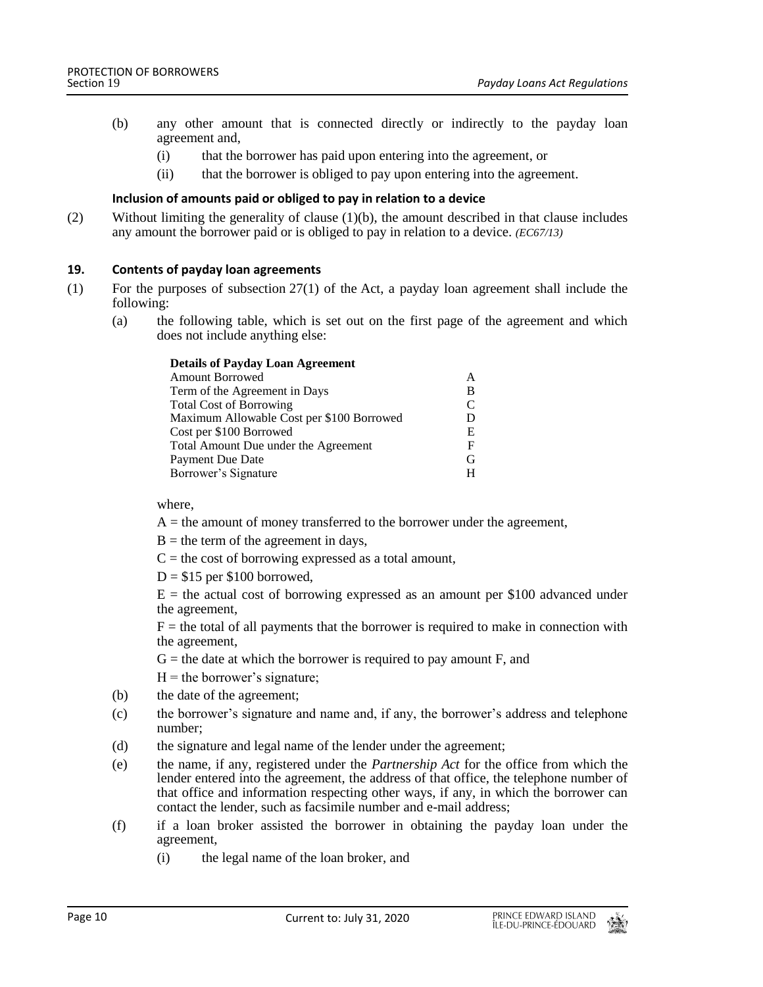- (b) any other amount that is connected directly or indirectly to the payday loan agreement and,
	- (i) that the borrower has paid upon entering into the agreement, or
	- (ii) that the borrower is obliged to pay upon entering into the agreement.

# **Inclusion of amounts paid or obliged to pay in relation to a device**

(2) Without limiting the generality of clause (1)(b), the amount described in that clause includes any amount the borrower paid or is obliged to pay in relation to a device. *(EC67/13)*

### **19. Contents of payday loan agreements**

- (1) For the purposes of subsection 27(1) of the Act, a payday loan agreement shall include the following:
	- (a) the following table, which is set out on the first page of the agreement and which does not include anything else:

| <b>Details of Payday Loan Agreement</b>   |   |
|-------------------------------------------|---|
| <b>Amount Borrowed</b>                    | A |
| Term of the Agreement in Days             | B |
| <b>Total Cost of Borrowing</b>            | C |
| Maximum Allowable Cost per \$100 Borrowed | D |
| Cost per \$100 Borrowed                   | Е |
| Total Amount Due under the Agreement      | F |
| Payment Due Date                          | G |
| Borrower's Signature                      | H |

where,

- $A =$  the amount of money transferred to the borrower under the agreement,
- $B =$  the term of the agreement in days,
- $C =$  the cost of borrowing expressed as a total amount,
- $D = $15$  per \$100 borrowed,

 $E =$  the actual cost of borrowing expressed as an amount per \$100 advanced under the agreement,

 $F =$  the total of all payments that the borrower is required to make in connection with the agreement,

 $G$  = the date at which the borrower is required to pay amount F, and

 $H =$  the borrower's signature;

- (b) the date of the agreement;
- (c) the borrower's signature and name and, if any, the borrower's address and telephone number;
- (d) the signature and legal name of the lender under the agreement;
- (e) the name, if any, registered under the *Partnership Act* for the office from which the lender entered into the agreement, the address of that office, the telephone number of that office and information respecting other ways, if any, in which the borrower can contact the lender, such as facsimile number and e-mail address;
- (f) if a loan broker assisted the borrower in obtaining the payday loan under the agreement,
	- (i) the legal name of the loan broker, and

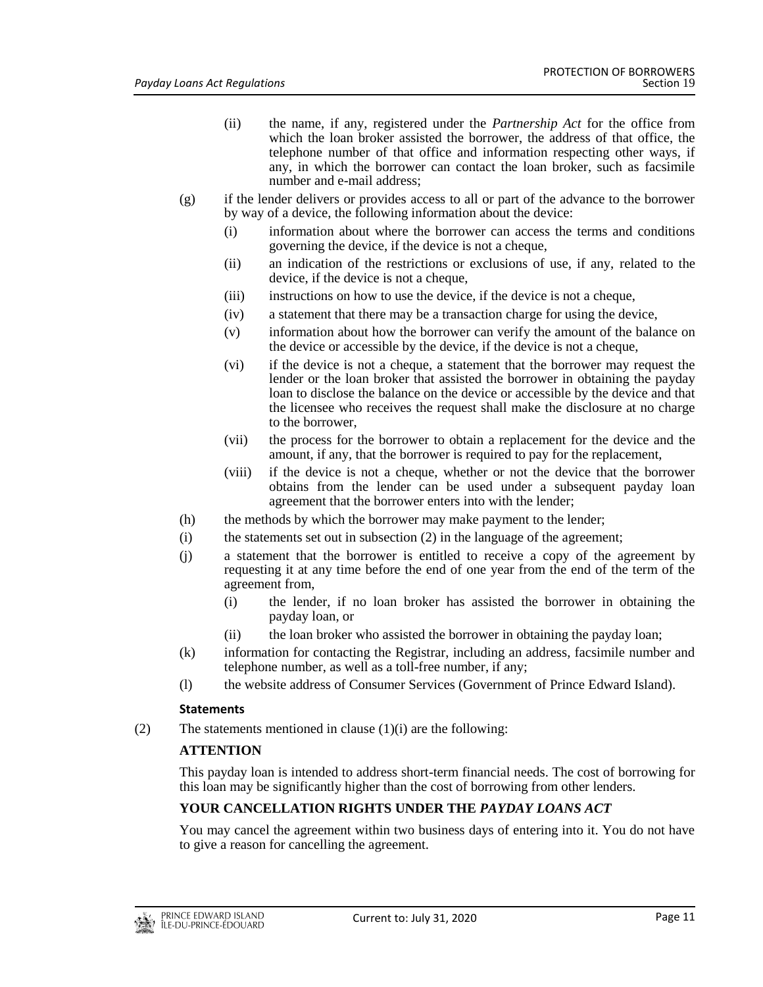- (ii) the name, if any, registered under the *Partnership Act* for the office from which the loan broker assisted the borrower, the address of that office, the telephone number of that office and information respecting other ways, if any, in which the borrower can contact the loan broker, such as facsimile number and e-mail address;
- (g) if the lender delivers or provides access to all or part of the advance to the borrower by way of a device, the following information about the device:
	- (i) information about where the borrower can access the terms and conditions governing the device, if the device is not a cheque,
	- (ii) an indication of the restrictions or exclusions of use, if any, related to the device, if the device is not a cheque,
	- (iii) instructions on how to use the device, if the device is not a cheque,
	- (iv) a statement that there may be a transaction charge for using the device,
	- (v) information about how the borrower can verify the amount of the balance on the device or accessible by the device, if the device is not a cheque,
	- (vi) if the device is not a cheque, a statement that the borrower may request the lender or the loan broker that assisted the borrower in obtaining the payday loan to disclose the balance on the device or accessible by the device and that the licensee who receives the request shall make the disclosure at no charge to the borrower
	- (vii) the process for the borrower to obtain a replacement for the device and the amount, if any, that the borrower is required to pay for the replacement,
	- (viii) if the device is not a cheque, whether or not the device that the borrower obtains from the lender can be used under a subsequent payday loan agreement that the borrower enters into with the lender;
- (h) the methods by which the borrower may make payment to the lender;
- (i) the statements set out in subsection (2) in the language of the agreement;
- (j) a statement that the borrower is entitled to receive a copy of the agreement by requesting it at any time before the end of one year from the end of the term of the agreement from,
	- (i) the lender, if no loan broker has assisted the borrower in obtaining the payday loan, or
	- (ii) the loan broker who assisted the borrower in obtaining the payday loan;
- (k) information for contacting the Registrar, including an address, facsimile number and telephone number, as well as a toll-free number, if any;
- (l) the website address of Consumer Services (Government of Prince Edward Island).

# **Statements**

(2) The statements mentioned in clause  $(1)(i)$  are the following:

# **ATTENTION**

This payday loan is intended to address short-term financial needs. The cost of borrowing for this loan may be significantly higher than the cost of borrowing from other lenders.

# **YOUR CANCELLATION RIGHTS UNDER THE** *PAYDAY LOANS ACT*

You may cancel the agreement within two business days of entering into it. You do not have to give a reason for cancelling the agreement.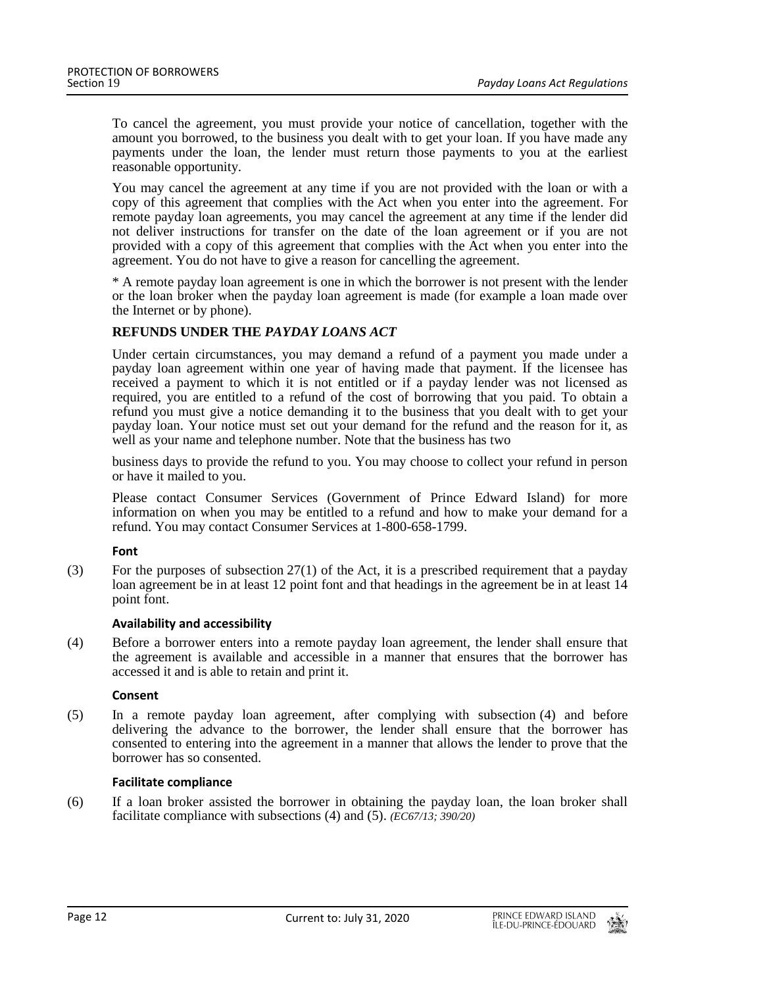To cancel the agreement, you must provide your notice of cancellation, together with the amount you borrowed, to the business you dealt with to get your loan. If you have made any payments under the loan, the lender must return those payments to you at the earliest reasonable opportunity.

You may cancel the agreement at any time if you are not provided with the loan or with a copy of this agreement that complies with the Act when you enter into the agreement. For remote payday loan agreements, you may cancel the agreement at any time if the lender did not deliver instructions for transfer on the date of the loan agreement or if you are not provided with a copy of this agreement that complies with the Act when you enter into the agreement. You do not have to give a reason for cancelling the agreement.

\* A remote payday loan agreement is one in which the borrower is not present with the lender or the loan broker when the payday loan agreement is made (for example a loan made over the Internet or by phone).

# **REFUNDS UNDER THE** *PAYDAY LOANS ACT*

Under certain circumstances, you may demand a refund of a payment you made under a payday loan agreement within one year of having made that payment. If the licensee has received a payment to which it is not entitled or if a payday lender was not licensed as required, you are entitled to a refund of the cost of borrowing that you paid. To obtain a refund you must give a notice demanding it to the business that you dealt with to get your payday loan. Your notice must set out your demand for the refund and the reason for it, as well as your name and telephone number. Note that the business has two

business days to provide the refund to you. You may choose to collect your refund in person or have it mailed to you.

Please contact Consumer Services (Government of Prince Edward Island) for more information on when you may be entitled to a refund and how to make your demand for a refund. You may contact Consumer Services at 1-800-658-1799.

#### **Font**

(3) For the purposes of subsection 27(1) of the Act, it is a prescribed requirement that a payday loan agreement be in at least 12 point font and that headings in the agreement be in at least 14 point font.

#### **Availability and accessibility**

(4) Before a borrower enters into a remote payday loan agreement, the lender shall ensure that the agreement is available and accessible in a manner that ensures that the borrower has accessed it and is able to retain and print it.

#### **Consent**

(5) In a remote payday loan agreement, after complying with subsection (4) and before delivering the advance to the borrower, the lender shall ensure that the borrower has consented to entering into the agreement in a manner that allows the lender to prove that the borrower has so consented.

#### **Facilitate compliance**

(6) If a loan broker assisted the borrower in obtaining the payday loan, the loan broker shall facilitate compliance with subsections (4) and (5). *(EC67/13; 390/20)*

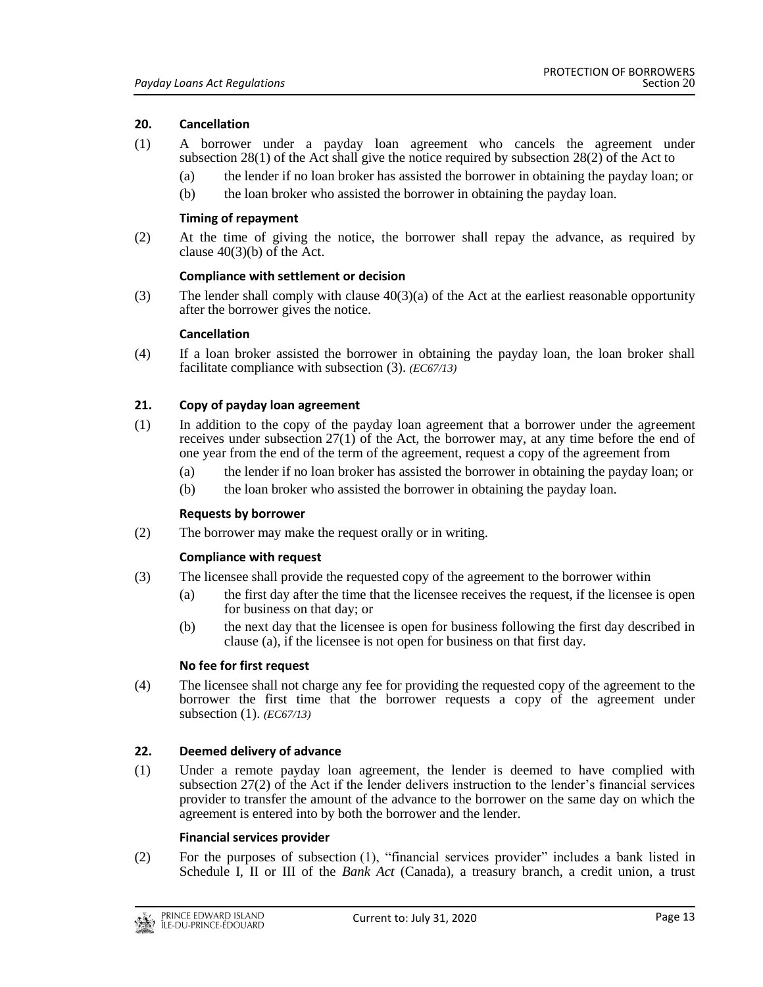# **20. Cancellation**

- (1) A borrower under a payday loan agreement who cancels the agreement under subsection 28(1) of the Act shall give the notice required by subsection 28(2) of the Act to
	- (a) the lender if no loan broker has assisted the borrower in obtaining the payday loan; or
	- (b) the loan broker who assisted the borrower in obtaining the payday loan.

#### **Timing of repayment**

(2) At the time of giving the notice, the borrower shall repay the advance, as required by clause  $40(3)(b)$  of the Act.

#### **Compliance with settlement or decision**

(3) The lender shall comply with clause  $40(3)(a)$  of the Act at the earliest reasonable opportunity after the borrower gives the notice.

#### **Cancellation**

(4) If a loan broker assisted the borrower in obtaining the payday loan, the loan broker shall facilitate compliance with subsection (3). *(EC67/13)*

### **21. Copy of payday loan agreement**

- (1) In addition to the copy of the payday loan agreement that a borrower under the agreement receives under subsection 27(1) of the Act, the borrower may, at any time before the end of one year from the end of the term of the agreement, request a copy of the agreement from
	- (a) the lender if no loan broker has assisted the borrower in obtaining the payday loan; or
	- (b) the loan broker who assisted the borrower in obtaining the payday loan.

#### **Requests by borrower**

(2) The borrower may make the request orally or in writing.

#### **Compliance with request**

- (3) The licensee shall provide the requested copy of the agreement to the borrower within
	- (a) the first day after the time that the licensee receives the request, if the licensee is open for business on that day; or
	- (b) the next day that the licensee is open for business following the first day described in clause (a), if the licensee is not open for business on that first day.

#### **No fee for first request**

(4) The licensee shall not charge any fee for providing the requested copy of the agreement to the borrower the first time that the borrower requests a copy of the agreement under subsection (1). *(EC67/13)*

# **22. Deemed delivery of advance**

(1) Under a remote payday loan agreement, the lender is deemed to have complied with subsection 27(2) of the Act if the lender delivers instruction to the lender's financial services provider to transfer the amount of the advance to the borrower on the same day on which the agreement is entered into by both the borrower and the lender.

#### **Financial services provider**

(2) For the purposes of subsection (1), "financial services provider" includes a bank listed in Schedule I, II or III of the *Bank Act* (Canada), a treasury branch, a credit union, a trust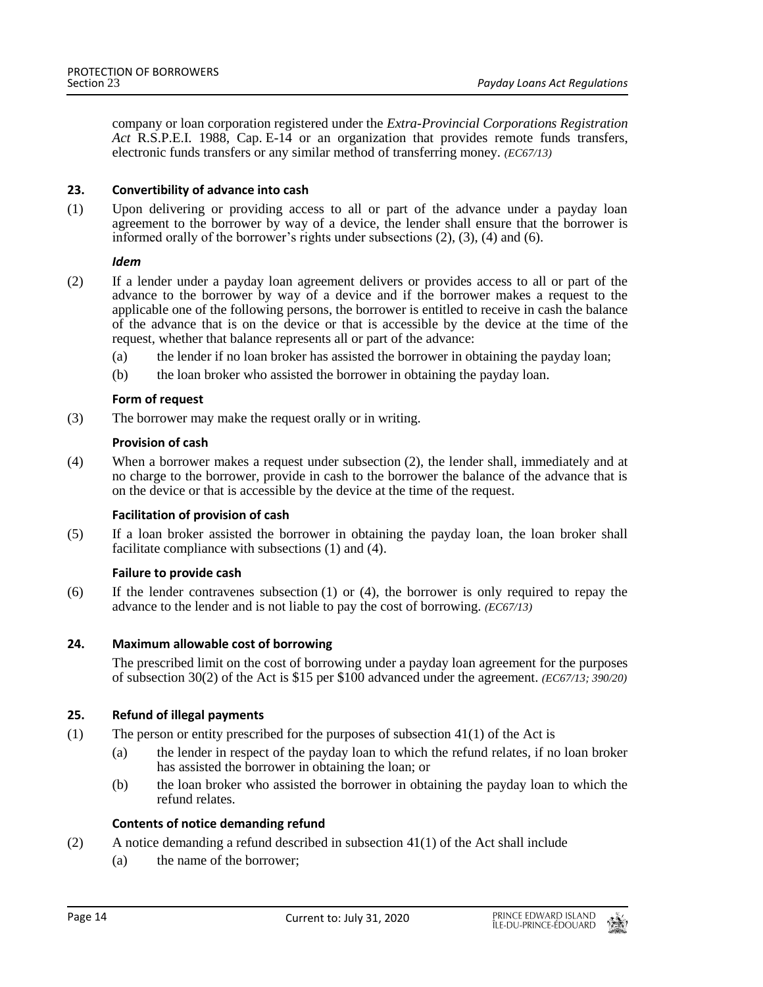company or loan corporation registered under the *Extra-Provincial Corporations Registration Act* R.S.P.E.I. 1988, Cap. E-14 or an organization that provides remote funds transfers, electronic funds transfers or any similar method of transferring money. *(EC67/13)*

## **23. Convertibility of advance into cash**

(1) Upon delivering or providing access to all or part of the advance under a payday loan agreement to the borrower by way of a device, the lender shall ensure that the borrower is informed orally of the borrower's rights under subsections (2), (3), (4) and (6).

### *Idem*

- (2) If a lender under a payday loan agreement delivers or provides access to all or part of the advance to the borrower by way of a device and if the borrower makes a request to the applicable one of the following persons, the borrower is entitled to receive in cash the balance of the advance that is on the device or that is accessible by the device at the time of the request, whether that balance represents all or part of the advance:
	- (a) the lender if no loan broker has assisted the borrower in obtaining the payday loan;
	- (b) the loan broker who assisted the borrower in obtaining the payday loan.

### **Form of request**

(3) The borrower may make the request orally or in writing.

### **Provision of cash**

(4) When a borrower makes a request under subsection (2), the lender shall, immediately and at no charge to the borrower, provide in cash to the borrower the balance of the advance that is on the device or that is accessible by the device at the time of the request.

#### **Facilitation of provision of cash**

(5) If a loan broker assisted the borrower in obtaining the payday loan, the loan broker shall facilitate compliance with subsections (1) and (4).

#### **Failure to provide cash**

(6) If the lender contravenes subsection (1) or (4), the borrower is only required to repay the advance to the lender and is not liable to pay the cost of borrowing. *(EC67/13)*

# **24. Maximum allowable cost of borrowing**

The prescribed limit on the cost of borrowing under a payday loan agreement for the purposes of subsection 30(2) of the Act is \$15 per \$100 advanced under the agreement. *(EC67/13; 390/20)*

# **25. Refund of illegal payments**

- (1) The person or entity prescribed for the purposes of subsection 41(1) of the Act is
	- (a) the lender in respect of the payday loan to which the refund relates, if no loan broker has assisted the borrower in obtaining the loan; or
	- (b) the loan broker who assisted the borrower in obtaining the payday loan to which the refund relates.

# **Contents of notice demanding refund**

- (2) A notice demanding a refund described in subsection 41(1) of the Act shall include
	- (a) the name of the borrower;

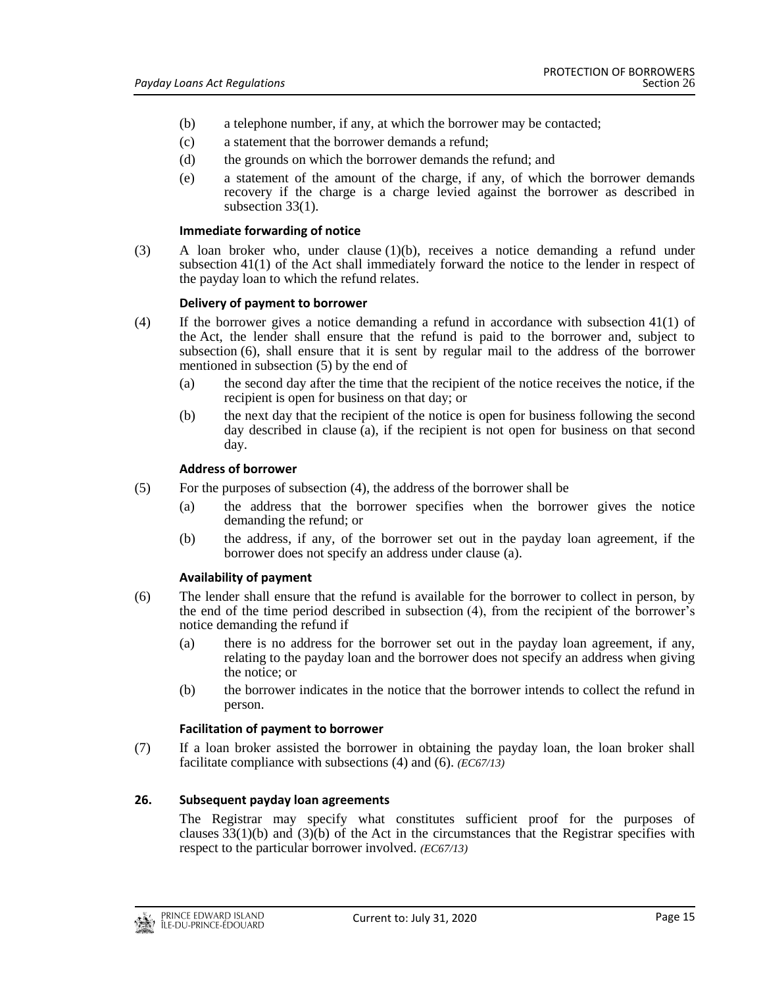- (b) a telephone number, if any, at which the borrower may be contacted;
- (c) a statement that the borrower demands a refund;
- (d) the grounds on which the borrower demands the refund; and
- (e) a statement of the amount of the charge, if any, of which the borrower demands recovery if the charge is a charge levied against the borrower as described in subsection 33(1).

### **Immediate forwarding of notice**

(3) A loan broker who, under clause (1)(b), receives a notice demanding a refund under subsection 41(1) of the Act shall immediately forward the notice to the lender in respect of the payday loan to which the refund relates.

### **Delivery of payment to borrower**

- (4) If the borrower gives a notice demanding a refund in accordance with subsection 41(1) of the Act, the lender shall ensure that the refund is paid to the borrower and, subject to subsection (6), shall ensure that it is sent by regular mail to the address of the borrower mentioned in subsection (5) by the end of
	- (a) the second day after the time that the recipient of the notice receives the notice, if the recipient is open for business on that day; or
	- (b) the next day that the recipient of the notice is open for business following the second day described in clause (a), if the recipient is not open for business on that second day.

### **Address of borrower**

- (5) For the purposes of subsection (4), the address of the borrower shall be
	- (a) the address that the borrower specifies when the borrower gives the notice demanding the refund; or
	- (b) the address, if any, of the borrower set out in the payday loan agreement, if the borrower does not specify an address under clause (a).

# **Availability of payment**

- (6) The lender shall ensure that the refund is available for the borrower to collect in person, by the end of the time period described in subsection (4), from the recipient of the borrower's notice demanding the refund if
	- (a) there is no address for the borrower set out in the payday loan agreement, if any, relating to the payday loan and the borrower does not specify an address when giving the notice; or
	- (b) the borrower indicates in the notice that the borrower intends to collect the refund in person.

# **Facilitation of payment to borrower**

(7) If a loan broker assisted the borrower in obtaining the payday loan, the loan broker shall facilitate compliance with subsections (4) and (6). *(EC67/13)*

# **26. Subsequent payday loan agreements**

The Registrar may specify what constitutes sufficient proof for the purposes of clauses  $33(1)(b)$  and  $(3)(b)$  of the Act in the circumstances that the Registrar specifies with respect to the particular borrower involved. *(EC67/13)*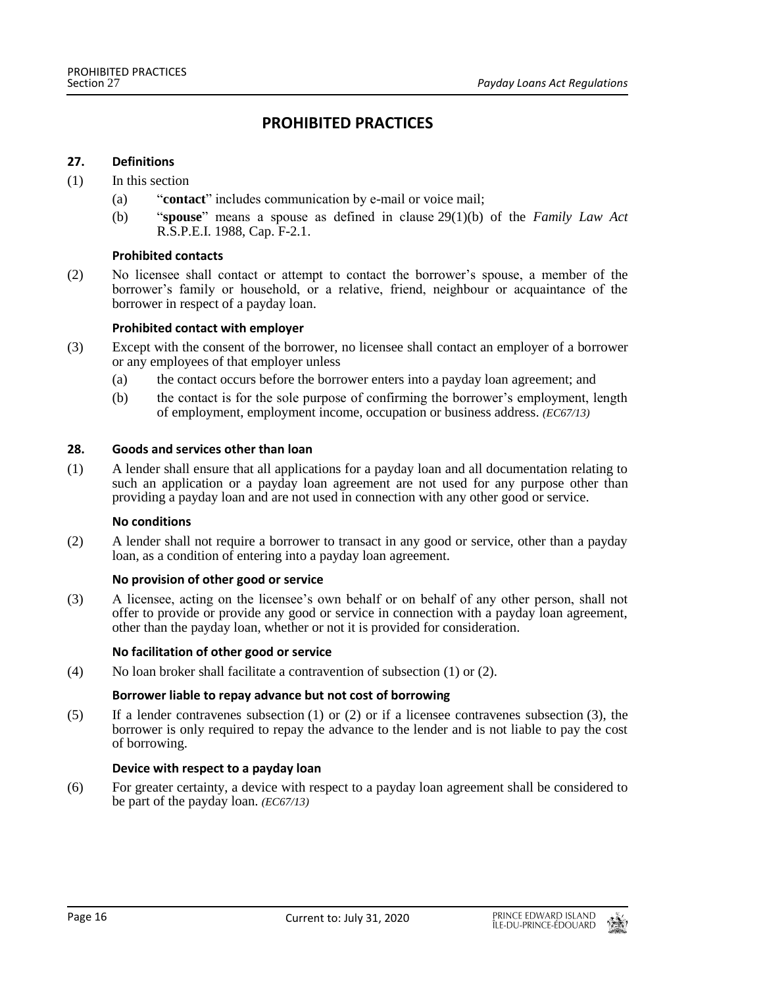# **PROHIBITED PRACTICES**

#### **27. Definitions**

#### (1) In this section

- (a) "**contact**" includes communication by e-mail or voice mail;
- (b) "**spouse**" means a spouse as defined in clause 29(1)(b) of the *Family Law Act* R.S.P.E.I. 1988, Cap. F-2.1.

### **Prohibited contacts**

(2) No licensee shall contact or attempt to contact the borrower's spouse, a member of the borrower's family or household, or a relative, friend, neighbour or acquaintance of the borrower in respect of a payday loan.

#### **Prohibited contact with employer**

- (3) Except with the consent of the borrower, no licensee shall contact an employer of a borrower or any employees of that employer unless
	- (a) the contact occurs before the borrower enters into a payday loan agreement; and
	- (b) the contact is for the sole purpose of confirming the borrower's employment, length of employment, employment income, occupation or business address. *(EC67/13)*

#### **28. Goods and services other than loan**

(1) A lender shall ensure that all applications for a payday loan and all documentation relating to such an application or a payday loan agreement are not used for any purpose other than providing a payday loan and are not used in connection with any other good or service.

#### **No conditions**

(2) A lender shall not require a borrower to transact in any good or service, other than a payday loan, as a condition of entering into a payday loan agreement.

#### **No provision of other good or service**

(3) A licensee, acting on the licensee's own behalf or on behalf of any other person, shall not offer to provide or provide any good or service in connection with a payday loan agreement, other than the payday loan, whether or not it is provided for consideration.

# **No facilitation of other good or service**

(4) No loan broker shall facilitate a contravention of subsection (1) or (2).

# **Borrower liable to repay advance but not cost of borrowing**

(5) If a lender contravenes subsection (1) or (2) or if a licensee contravenes subsection (3), the borrower is only required to repay the advance to the lender and is not liable to pay the cost of borrowing.

# **Device with respect to a payday loan**

(6) For greater certainty, a device with respect to a payday loan agreement shall be considered to be part of the payday loan. *(EC67/13)*

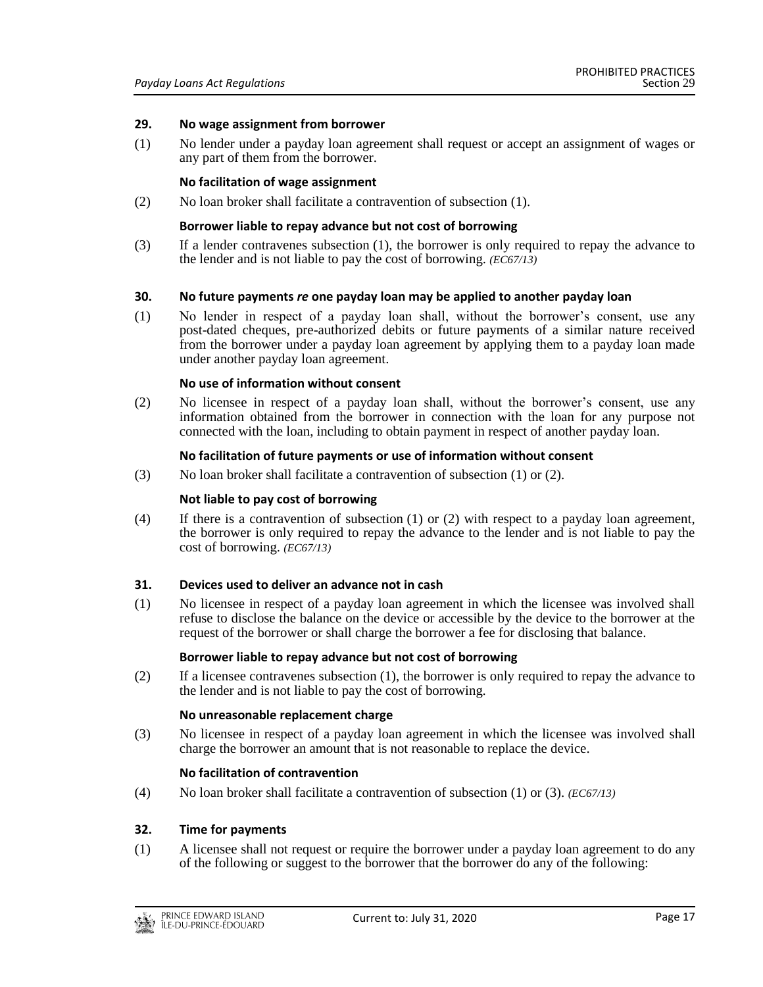#### **29. No wage assignment from borrower**

(1) No lender under a payday loan agreement shall request or accept an assignment of wages or any part of them from the borrower.

#### **No facilitation of wage assignment**

(2) No loan broker shall facilitate a contravention of subsection (1).

#### **Borrower liable to repay advance but not cost of borrowing**

(3) If a lender contravenes subsection (1), the borrower is only required to repay the advance to the lender and is not liable to pay the cost of borrowing. *(EC67/13)*

#### **30. No future payments** *re* **one payday loan may be applied to another payday loan**

(1) No lender in respect of a payday loan shall, without the borrower's consent, use any post-dated cheques, pre-authorized debits or future payments of a similar nature received from the borrower under a payday loan agreement by applying them to a payday loan made under another payday loan agreement.

#### **No use of information without consent**

(2) No licensee in respect of a payday loan shall, without the borrower's consent, use any information obtained from the borrower in connection with the loan for any purpose not connected with the loan, including to obtain payment in respect of another payday loan.

#### **No facilitation of future payments or use of information without consent**

(3) No loan broker shall facilitate a contravention of subsection (1) or (2).

#### **Not liable to pay cost of borrowing**

(4) If there is a contravention of subsection (1) or (2) with respect to a payday loan agreement, the borrower is only required to repay the advance to the lender and is not liable to pay the cost of borrowing. *(EC67/13)*

#### **31. Devices used to deliver an advance not in cash**

(1) No licensee in respect of a payday loan agreement in which the licensee was involved shall refuse to disclose the balance on the device or accessible by the device to the borrower at the request of the borrower or shall charge the borrower a fee for disclosing that balance.

#### **Borrower liable to repay advance but not cost of borrowing**

(2) If a licensee contravenes subsection (1), the borrower is only required to repay the advance to the lender and is not liable to pay the cost of borrowing.

#### **No unreasonable replacement charge**

(3) No licensee in respect of a payday loan agreement in which the licensee was involved shall charge the borrower an amount that is not reasonable to replace the device.

#### **No facilitation of contravention**

(4) No loan broker shall facilitate a contravention of subsection (1) or (3). *(EC67/13)*

#### **32. Time for payments**

(1) A licensee shall not request or require the borrower under a payday loan agreement to do any of the following or suggest to the borrower that the borrower do any of the following: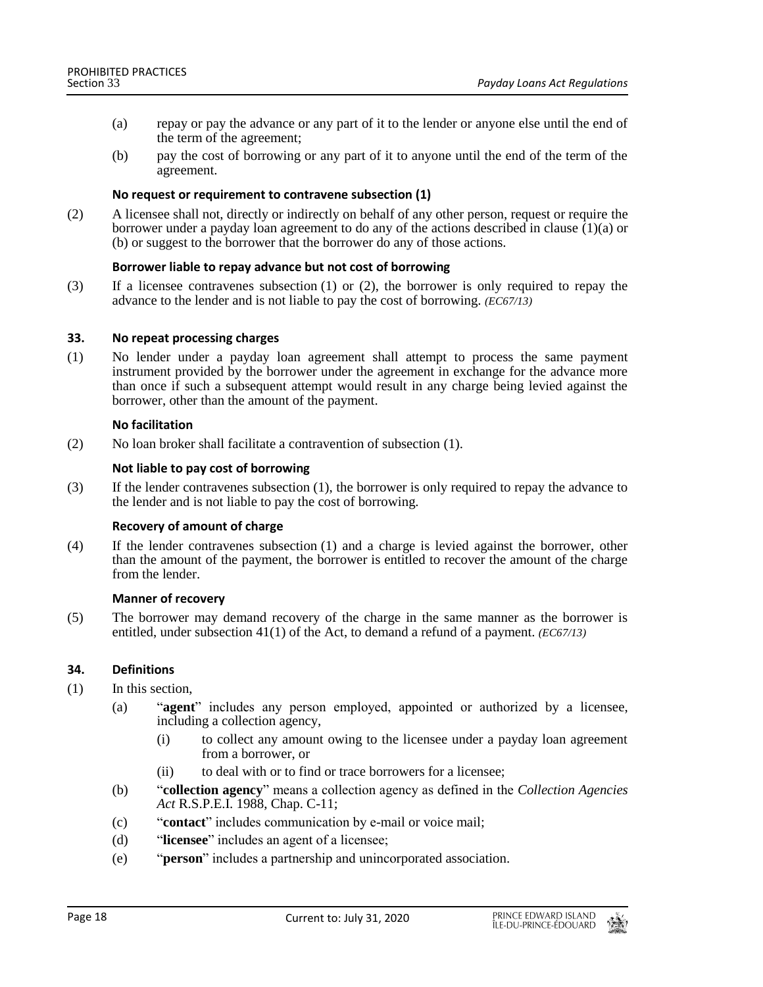- (a) repay or pay the advance or any part of it to the lender or anyone else until the end of the term of the agreement;
- (b) pay the cost of borrowing or any part of it to anyone until the end of the term of the agreement.

### **No request or requirement to contravene subsection (1)**

(2) A licensee shall not, directly or indirectly on behalf of any other person, request or require the borrower under a payday loan agreement to do any of the actions described in clause  $(1)(a)$  or (b) or suggest to the borrower that the borrower do any of those actions.

### **Borrower liable to repay advance but not cost of borrowing**

(3) If a licensee contravenes subsection (1) or (2), the borrower is only required to repay the advance to the lender and is not liable to pay the cost of borrowing. *(EC67/13)*

### **33. No repeat processing charges**

(1) No lender under a payday loan agreement shall attempt to process the same payment instrument provided by the borrower under the agreement in exchange for the advance more than once if such a subsequent attempt would result in any charge being levied against the borrower, other than the amount of the payment.

### **No facilitation**

(2) No loan broker shall facilitate a contravention of subsection (1).

### **Not liable to pay cost of borrowing**

(3) If the lender contravenes subsection (1), the borrower is only required to repay the advance to the lender and is not liable to pay the cost of borrowing.

# **Recovery of amount of charge**

(4) If the lender contravenes subsection (1) and a charge is levied against the borrower, other than the amount of the payment, the borrower is entitled to recover the amount of the charge from the lender.

#### **Manner of recovery**

(5) The borrower may demand recovery of the charge in the same manner as the borrower is entitled, under subsection 41(1) of the Act, to demand a refund of a payment. *(EC67/13)*

# **34. Definitions**

- (1) In this section,
	- (a) "**agent**" includes any person employed, appointed or authorized by a licensee, including a collection agency,
		- (i) to collect any amount owing to the licensee under a payday loan agreement from a borrower, or
		- (ii) to deal with or to find or trace borrowers for a licensee;
	- (b) "**collection agency**" means a collection agency as defined in the *Collection Agencies Act* R.S.P.E.I. 1988, Chap. C-11;
	- (c) "**contact**" includes communication by e-mail or voice mail;
	- (d) "**licensee**" includes an agent of a licensee;
	- (e) "**person**" includes a partnership and unincorporated association.

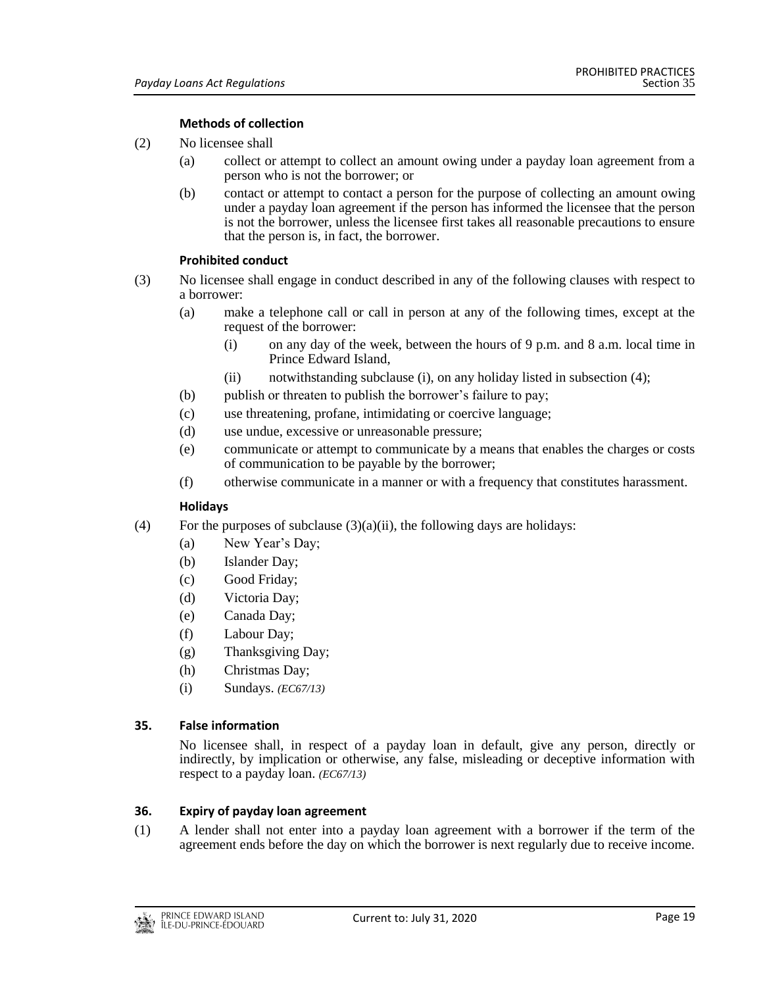# **Methods of collection**

- (2) No licensee shall
	- (a) collect or attempt to collect an amount owing under a payday loan agreement from a person who is not the borrower; or
	- (b) contact or attempt to contact a person for the purpose of collecting an amount owing under a payday loan agreement if the person has informed the licensee that the person is not the borrower, unless the licensee first takes all reasonable precautions to ensure that the person is, in fact, the borrower.

# **Prohibited conduct**

- (3) No licensee shall engage in conduct described in any of the following clauses with respect to a borrower:
	- (a) make a telephone call or call in person at any of the following times, except at the request of the borrower:
		- (i) on any day of the week, between the hours of 9 p.m. and 8 a.m. local time in Prince Edward Island,
		- (ii) notwithstanding subclause (i), on any holiday listed in subsection (4);
	- (b) publish or threaten to publish the borrower's failure to pay;
	- (c) use threatening, profane, intimidating or coercive language;
	- (d) use undue, excessive or unreasonable pressure;
	- (e) communicate or attempt to communicate by a means that enables the charges or costs of communication to be payable by the borrower;
	- (f) otherwise communicate in a manner or with a frequency that constitutes harassment.

# **Holidays**

- (4) For the purposes of subclause  $(3)(a)(ii)$ , the following days are holidays:
	- (a) New Year's Day;
	- (b) Islander Day;
	- (c) Good Friday;
	- (d) Victoria Day;
	- (e) Canada Day;
	- (f) Labour Day;
	- (g) Thanksgiving Day;
	- (h) Christmas Day;
	- (i) Sundays. *(EC67/13)*

# **35. False information**

No licensee shall, in respect of a payday loan in default, give any person, directly or indirectly, by implication or otherwise, any false, misleading or deceptive information with respect to a payday loan. *(EC67/13)*

# **36. Expiry of payday loan agreement**

(1) A lender shall not enter into a payday loan agreement with a borrower if the term of the agreement ends before the day on which the borrower is next regularly due to receive income.